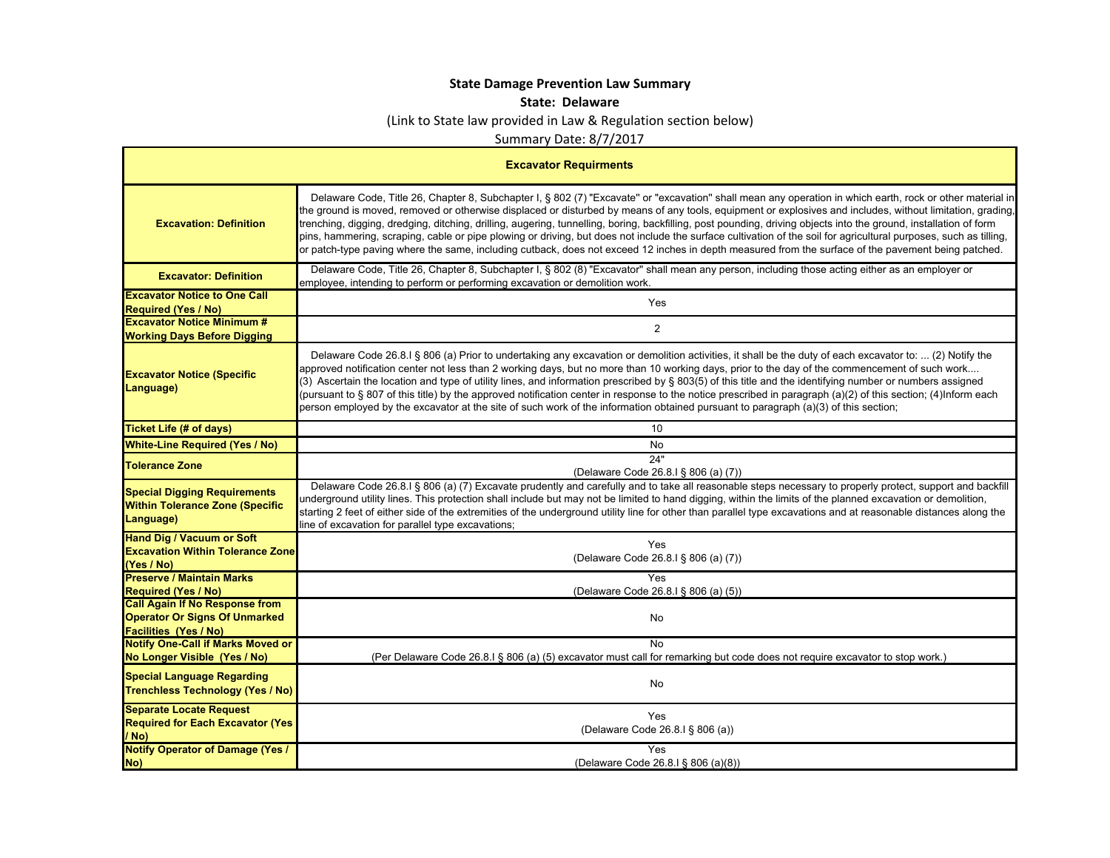## **State Damage Prevention Law Summary**

## **State: Delaware**

(Link to State law provided in Law & Regulation section below)

Summary Date: 8/7/2017

| <b>Excavator Requirments</b>                                                                                  |                                                                                                                                                                                                                                                                                                                                                                                                                                                                                                                                                                                                                                                                                                                                                                                                                          |
|---------------------------------------------------------------------------------------------------------------|--------------------------------------------------------------------------------------------------------------------------------------------------------------------------------------------------------------------------------------------------------------------------------------------------------------------------------------------------------------------------------------------------------------------------------------------------------------------------------------------------------------------------------------------------------------------------------------------------------------------------------------------------------------------------------------------------------------------------------------------------------------------------------------------------------------------------|
| <b>Excavation: Definition</b>                                                                                 | Delaware Code, Title 26, Chapter 8, Subchapter I, § 802 (7) "Excavate" or "excavation" shall mean any operation in which earth, rock or other material in<br>the ground is moved, removed or otherwise displaced or disturbed by means of any tools, equipment or explosives and includes, without limitation, grading,<br>trenching, digging, dredging, ditching, drilling, augering, tunnelling, boring, backfilling, post pounding, driving objects into the ground, installation of form<br>pins, hammering, scraping, cable or pipe plowing or driving, but does not include the surface cultivation of the soil for agricultural purposes, such as tilling,<br>or patch-type paving where the same, including cutback, does not exceed 12 inches in depth measured from the surface of the pavement being patched. |
| <b>Excavator: Definition</b>                                                                                  | Delaware Code, Title 26, Chapter 8, Subchapter I, § 802 (8) "Excavator" shall mean any person, including those acting either as an employer or<br>employee, intending to perform or performing excavation or demolition work.                                                                                                                                                                                                                                                                                                                                                                                                                                                                                                                                                                                            |
| <b>Excavator Notice to One Call</b><br><b>Required (Yes / No)</b>                                             | Yes                                                                                                                                                                                                                                                                                                                                                                                                                                                                                                                                                                                                                                                                                                                                                                                                                      |
| <b>Excavator Notice Minimum #</b><br><b>Working Days Before Digging</b>                                       | $\overline{2}$                                                                                                                                                                                                                                                                                                                                                                                                                                                                                                                                                                                                                                                                                                                                                                                                           |
| <b>Excavator Notice (Specific</b><br>Language)                                                                | Delaware Code 26.8.1 § 806 (a) Prior to undertaking any excavation or demolition activities, it shall be the duty of each excavator to:  (2) Notify the<br>approved notification center not less than 2 working days, but no more than 10 working days, prior to the day of the commencement of such work<br>(3) Ascertain the location and type of utility lines, and information prescribed by § 803(5) of this title and the identifying number or numbers assigned<br>(pursuant to § 807 of this title) by the approved notification center in response to the notice prescribed in paragraph (a)(2) of this section; (4)Inform each<br>person employed by the excavator at the site of such work of the information obtained pursuant to paragraph (a)(3) of this section;                                          |
| <b>Ticket Life (# of days)</b>                                                                                | 10                                                                                                                                                                                                                                                                                                                                                                                                                                                                                                                                                                                                                                                                                                                                                                                                                       |
| <b>White-Line Required (Yes / No)</b>                                                                         | No                                                                                                                                                                                                                                                                                                                                                                                                                                                                                                                                                                                                                                                                                                                                                                                                                       |
| <b>Tolerance Zone</b>                                                                                         | 24"<br>(Delaware Code 26.8.1 § 806 (a) (7))                                                                                                                                                                                                                                                                                                                                                                                                                                                                                                                                                                                                                                                                                                                                                                              |
| <b>Special Digging Requirements</b><br><b>Within Tolerance Zone (Specific</b><br>Language)                    | Delaware Code 26.8.1 § 806 (a) (7) Excavate prudently and carefully and to take all reasonable steps necessary to properly protect, support and backfill<br>underground utility lines. This protection shall include but may not be limited to hand digging, within the limits of the planned excavation or demolition,<br>starting 2 feet of either side of the extremities of the underground utility line for other than parallel type excavations and at reasonable distances along the<br>line of excavation for parallel type excavations;                                                                                                                                                                                                                                                                         |
| <b>Hand Dig / Vacuum or Soft</b><br><b>Excavation Within Tolerance Zone</b><br>(Yes / No)                     | Yes<br>(Delaware Code 26.8.I § 806 (a) (7))                                                                                                                                                                                                                                                                                                                                                                                                                                                                                                                                                                                                                                                                                                                                                                              |
| <b>Preserve / Maintain Marks</b><br><b>Required (Yes / No)</b>                                                | <b>Yes</b><br>(Delaware Code 26.8.I § 806 (a) (5))                                                                                                                                                                                                                                                                                                                                                                                                                                                                                                                                                                                                                                                                                                                                                                       |
| <b>Call Again If No Response from</b><br><b>Operator Or Signs Of Unmarked</b><br><b>Facilities (Yes / No)</b> | No                                                                                                                                                                                                                                                                                                                                                                                                                                                                                                                                                                                                                                                                                                                                                                                                                       |
| <b>Notify One-Call if Marks Moved or</b><br>No Longer Visible (Yes / No)                                      | <b>No</b><br>(Per Delaware Code 26.8.1 § 806 (a) (5) excavator must call for remarking but code does not require excavator to stop work.)                                                                                                                                                                                                                                                                                                                                                                                                                                                                                                                                                                                                                                                                                |
| <b>Special Language Regarding</b><br><b>Trenchless Technology (Yes / No)</b>                                  | No                                                                                                                                                                                                                                                                                                                                                                                                                                                                                                                                                                                                                                                                                                                                                                                                                       |
| <b>Separate Locate Request</b><br><b>Required for Each Excavator (Yes)</b><br>/ No)                           | Yes<br>(Delaware Code 26.8.I § 806 (a))                                                                                                                                                                                                                                                                                                                                                                                                                                                                                                                                                                                                                                                                                                                                                                                  |
| <b>Notify Operator of Damage (Yes /</b><br>No)                                                                | Yes<br>(Delaware Code 26.8.1 § 806 (a)(8))                                                                                                                                                                                                                                                                                                                                                                                                                                                                                                                                                                                                                                                                                                                                                                               |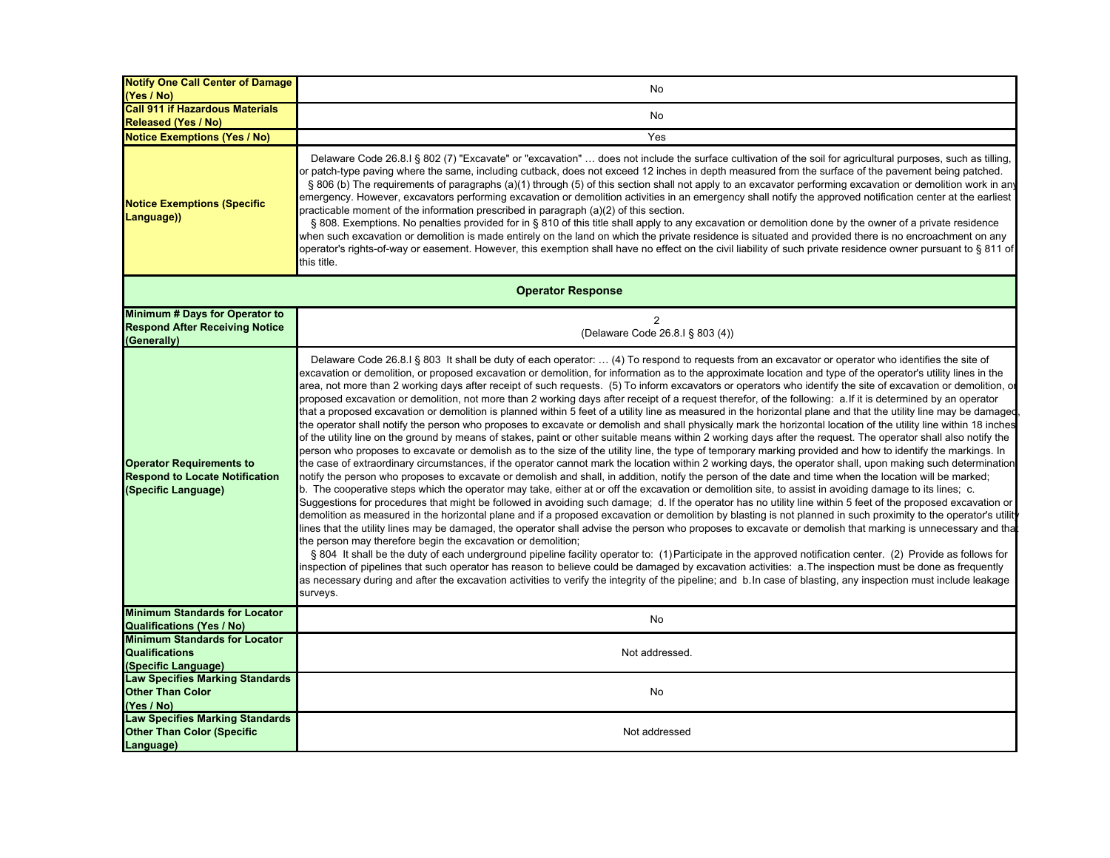| <b>Notify One Call Center of Damage</b><br>(Yes / No)                                           | No                                                                                                                                                                                                                                                                                                                                                                                                                                                                                                                                                                                                                                                                                                                                                                                                                                                                                                                                                                                                                                                                                                                                                                                                                                                                                                                                                                                                                                                                                                                                                                                                                                                                                                                                                                                                                                                                                                                                                                                                                                                                                                                                                                                                                                                                                                                                                                                                                                                                                                                                                                                                                                                                                                                                                                                                                                                                                                   |
|-------------------------------------------------------------------------------------------------|------------------------------------------------------------------------------------------------------------------------------------------------------------------------------------------------------------------------------------------------------------------------------------------------------------------------------------------------------------------------------------------------------------------------------------------------------------------------------------------------------------------------------------------------------------------------------------------------------------------------------------------------------------------------------------------------------------------------------------------------------------------------------------------------------------------------------------------------------------------------------------------------------------------------------------------------------------------------------------------------------------------------------------------------------------------------------------------------------------------------------------------------------------------------------------------------------------------------------------------------------------------------------------------------------------------------------------------------------------------------------------------------------------------------------------------------------------------------------------------------------------------------------------------------------------------------------------------------------------------------------------------------------------------------------------------------------------------------------------------------------------------------------------------------------------------------------------------------------------------------------------------------------------------------------------------------------------------------------------------------------------------------------------------------------------------------------------------------------------------------------------------------------------------------------------------------------------------------------------------------------------------------------------------------------------------------------------------------------------------------------------------------------------------------------------------------------------------------------------------------------------------------------------------------------------------------------------------------------------------------------------------------------------------------------------------------------------------------------------------------------------------------------------------------------------------------------------------------------------------------------------------------------|
| <b>Call 911 if Hazardous Materials</b><br><b>Released (Yes / No)</b>                            | No                                                                                                                                                                                                                                                                                                                                                                                                                                                                                                                                                                                                                                                                                                                                                                                                                                                                                                                                                                                                                                                                                                                                                                                                                                                                                                                                                                                                                                                                                                                                                                                                                                                                                                                                                                                                                                                                                                                                                                                                                                                                                                                                                                                                                                                                                                                                                                                                                                                                                                                                                                                                                                                                                                                                                                                                                                                                                                   |
| <b>Notice Exemptions (Yes / No)</b>                                                             | Yes                                                                                                                                                                                                                                                                                                                                                                                                                                                                                                                                                                                                                                                                                                                                                                                                                                                                                                                                                                                                                                                                                                                                                                                                                                                                                                                                                                                                                                                                                                                                                                                                                                                                                                                                                                                                                                                                                                                                                                                                                                                                                                                                                                                                                                                                                                                                                                                                                                                                                                                                                                                                                                                                                                                                                                                                                                                                                                  |
| <b>Notice Exemptions (Specific</b><br>Language))                                                | Delaware Code 26.8.I § 802 (7) "Excavate" or "excavation"  does not include the surface cultivation of the soil for agricultural purposes, such as tilling,<br>or patch-type paving where the same, including cutback, does not exceed 12 inches in depth measured from the surface of the pavement being patched.<br>§ 806 (b) The requirements of paragraphs (a)(1) through (5) of this section shall not apply to an excavator performing excavation or demolition work in any<br>emergency. However, excavators performing excavation or demolition activities in an emergency shall notify the approved notification center at the earliest<br>practicable moment of the information prescribed in paragraph (a)(2) of this section.<br>§ 808. Exemptions. No penalties provided for in § 810 of this title shall apply to any excavation or demolition done by the owner of a private residence<br>when such excavation or demolition is made entirely on the land on which the private residence is situated and provided there is no encroachment on any<br>operator's rights-of-way or easement. However, this exemption shall have no effect on the civil liability of such private residence owner pursuant to § 811 of<br>this title.                                                                                                                                                                                                                                                                                                                                                                                                                                                                                                                                                                                                                                                                                                                                                                                                                                                                                                                                                                                                                                                                                                                                                                                                                                                                                                                                                                                                                                                                                                                                                                                                                                                    |
|                                                                                                 | <b>Operator Response</b>                                                                                                                                                                                                                                                                                                                                                                                                                                                                                                                                                                                                                                                                                                                                                                                                                                                                                                                                                                                                                                                                                                                                                                                                                                                                                                                                                                                                                                                                                                                                                                                                                                                                                                                                                                                                                                                                                                                                                                                                                                                                                                                                                                                                                                                                                                                                                                                                                                                                                                                                                                                                                                                                                                                                                                                                                                                                             |
| Minimum # Days for Operator to<br><b>Respond After Receiving Notice</b><br>(Generally)          | 2<br>(Delaware Code 26.8.1 § 803 (4))                                                                                                                                                                                                                                                                                                                                                                                                                                                                                                                                                                                                                                                                                                                                                                                                                                                                                                                                                                                                                                                                                                                                                                                                                                                                                                                                                                                                                                                                                                                                                                                                                                                                                                                                                                                                                                                                                                                                                                                                                                                                                                                                                                                                                                                                                                                                                                                                                                                                                                                                                                                                                                                                                                                                                                                                                                                                |
| <b>Operator Requirements to</b><br><b>Respond to Locate Notification</b><br>(Specific Language) | Delaware Code 26.8.1 § 803 It shall be duty of each operator:  (4) To respond to requests from an excavator or operator who identifies the site of<br>excavation or demolition, or proposed excavation or demolition, for information as to the approximate location and type of the operator's utility lines in the<br>area, not more than 2 working days after receipt of such requests. (5) To inform excavators or operators who identify the site of excavation or demolition, or<br>proposed excavation or demolition, not more than 2 working days after receipt of a request therefor, of the following: a. If it is determined by an operator<br>that a proposed excavation or demolition is planned within 5 feet of a utility line as measured in the horizontal plane and that the utility line may be damaged<br>the operator shall notify the person who proposes to excavate or demolish and shall physically mark the horizontal location of the utility line within 18 inches<br>of the utility line on the ground by means of stakes, paint or other suitable means within 2 working days after the request. The operator shall also notify the<br>person who proposes to excavate or demolish as to the size of the utility line, the type of temporary marking provided and how to identify the markings. In<br>the case of extraordinary circumstances, if the operator cannot mark the location within 2 working days, the operator shall, upon making such determination<br>notify the person who proposes to excavate or demolish and shall, in addition, notify the person of the date and time when the location will be marked;<br>b. The cooperative steps which the operator may take, either at or off the excavation or demolition site, to assist in avoiding damage to its lines; c.<br>Suggestions for procedures that might be followed in avoiding such damage; d. If the operator has no utility line within 5 feet of the proposed excavation or<br>demolition as measured in the horizontal plane and if a proposed excavation or demolition by blasting is not planned in such proximity to the operator's utilit<br>lines that the utility lines may be damaged, the operator shall advise the person who proposes to excavate or demolish that marking is unnecessary and tha<br>the person may therefore begin the excavation or demolition;<br>§ 804 It shall be the duty of each underground pipeline facility operator to: (1) Participate in the approved notification center. (2) Provide as follows for<br>inspection of pipelines that such operator has reason to believe could be damaged by excavation activities: a. The inspection must be done as frequently<br>as necessary during and after the excavation activities to verify the integrity of the pipeline; and b. In case of blasting, any inspection must include leakage<br>surveys. |
| <b>Minimum Standards for Locator</b><br><b>Qualifications (Yes / No)</b>                        | No                                                                                                                                                                                                                                                                                                                                                                                                                                                                                                                                                                                                                                                                                                                                                                                                                                                                                                                                                                                                                                                                                                                                                                                                                                                                                                                                                                                                                                                                                                                                                                                                                                                                                                                                                                                                                                                                                                                                                                                                                                                                                                                                                                                                                                                                                                                                                                                                                                                                                                                                                                                                                                                                                                                                                                                                                                                                                                   |
| <b>Minimum Standards for Locator</b><br><b>Qualifications</b><br>(Specific Language)            | Not addressed.                                                                                                                                                                                                                                                                                                                                                                                                                                                                                                                                                                                                                                                                                                                                                                                                                                                                                                                                                                                                                                                                                                                                                                                                                                                                                                                                                                                                                                                                                                                                                                                                                                                                                                                                                                                                                                                                                                                                                                                                                                                                                                                                                                                                                                                                                                                                                                                                                                                                                                                                                                                                                                                                                                                                                                                                                                                                                       |
| <b>Law Specifies Marking Standards</b><br><b>Other Than Color</b><br>(Yes / No)                 | No                                                                                                                                                                                                                                                                                                                                                                                                                                                                                                                                                                                                                                                                                                                                                                                                                                                                                                                                                                                                                                                                                                                                                                                                                                                                                                                                                                                                                                                                                                                                                                                                                                                                                                                                                                                                                                                                                                                                                                                                                                                                                                                                                                                                                                                                                                                                                                                                                                                                                                                                                                                                                                                                                                                                                                                                                                                                                                   |
| <b>Law Specifies Marking Standards</b><br><b>Other Than Color (Specific</b><br>Language)        | Not addressed                                                                                                                                                                                                                                                                                                                                                                                                                                                                                                                                                                                                                                                                                                                                                                                                                                                                                                                                                                                                                                                                                                                                                                                                                                                                                                                                                                                                                                                                                                                                                                                                                                                                                                                                                                                                                                                                                                                                                                                                                                                                                                                                                                                                                                                                                                                                                                                                                                                                                                                                                                                                                                                                                                                                                                                                                                                                                        |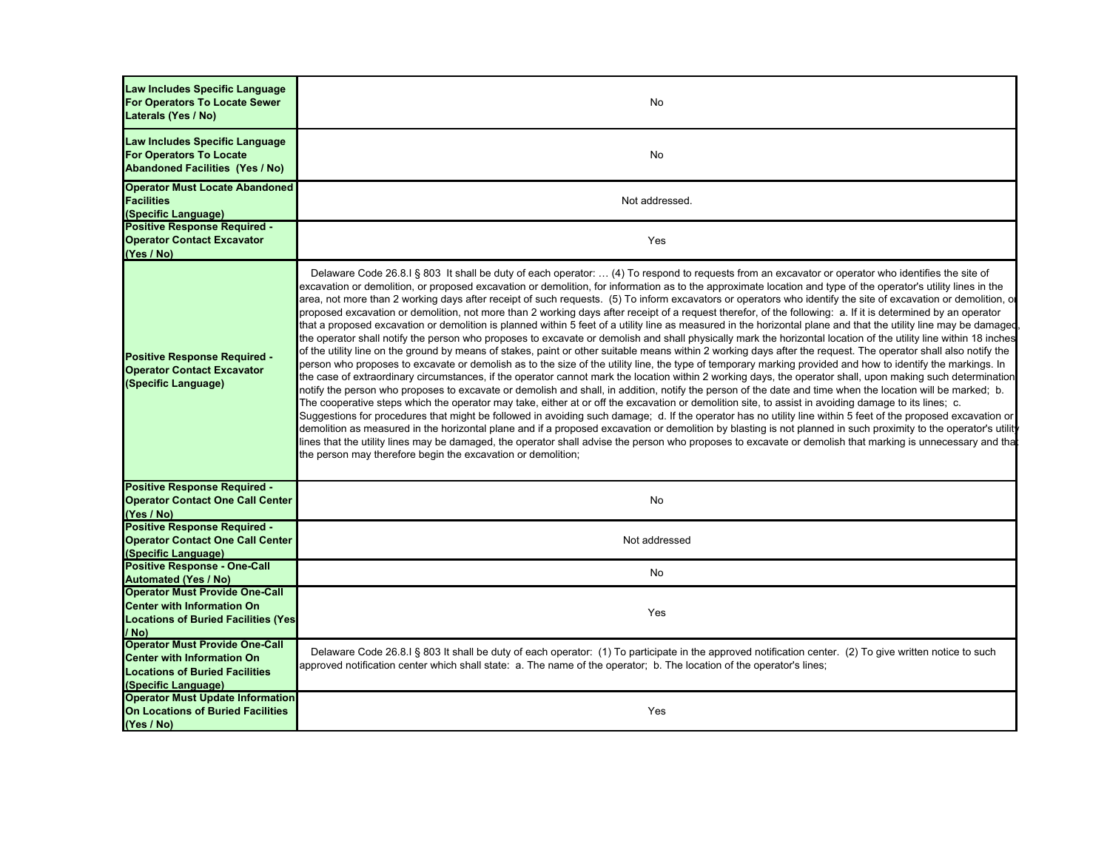| Law Includes Specific Language<br><b>For Operators To Locate Sewer</b><br>Laterals (Yes / No)                                              | No                                                                                                                                                                                                                                                                                                                                                                                                                                                                                                                                                                                                                                                                                                                                                                                                                                                                                                                                                                                                                                                                                                                                                                                                                                                                                                                                                                                                                                                                                                                                                                                                                                                                                                                                                                                                                                                                                                                                                                                                                                                                                                                                                                                                                                                                                                                                                                                      |
|--------------------------------------------------------------------------------------------------------------------------------------------|-----------------------------------------------------------------------------------------------------------------------------------------------------------------------------------------------------------------------------------------------------------------------------------------------------------------------------------------------------------------------------------------------------------------------------------------------------------------------------------------------------------------------------------------------------------------------------------------------------------------------------------------------------------------------------------------------------------------------------------------------------------------------------------------------------------------------------------------------------------------------------------------------------------------------------------------------------------------------------------------------------------------------------------------------------------------------------------------------------------------------------------------------------------------------------------------------------------------------------------------------------------------------------------------------------------------------------------------------------------------------------------------------------------------------------------------------------------------------------------------------------------------------------------------------------------------------------------------------------------------------------------------------------------------------------------------------------------------------------------------------------------------------------------------------------------------------------------------------------------------------------------------------------------------------------------------------------------------------------------------------------------------------------------------------------------------------------------------------------------------------------------------------------------------------------------------------------------------------------------------------------------------------------------------------------------------------------------------------------------------------------------------|
| Law Includes Specific Language<br><b>For Operators To Locate</b><br><b>Abandoned Facilities (Yes / No)</b>                                 | No                                                                                                                                                                                                                                                                                                                                                                                                                                                                                                                                                                                                                                                                                                                                                                                                                                                                                                                                                                                                                                                                                                                                                                                                                                                                                                                                                                                                                                                                                                                                                                                                                                                                                                                                                                                                                                                                                                                                                                                                                                                                                                                                                                                                                                                                                                                                                                                      |
| <b>Operator Must Locate Abandoned</b><br><b>Facilities</b><br>(Specific Language)                                                          | Not addressed.                                                                                                                                                                                                                                                                                                                                                                                                                                                                                                                                                                                                                                                                                                                                                                                                                                                                                                                                                                                                                                                                                                                                                                                                                                                                                                                                                                                                                                                                                                                                                                                                                                                                                                                                                                                                                                                                                                                                                                                                                                                                                                                                                                                                                                                                                                                                                                          |
| <b>Positive Response Required -</b><br><b>Operator Contact Excavator</b><br>(Yes / No)                                                     | Yes                                                                                                                                                                                                                                                                                                                                                                                                                                                                                                                                                                                                                                                                                                                                                                                                                                                                                                                                                                                                                                                                                                                                                                                                                                                                                                                                                                                                                                                                                                                                                                                                                                                                                                                                                                                                                                                                                                                                                                                                                                                                                                                                                                                                                                                                                                                                                                                     |
| <b>Positive Response Required -</b><br><b>Operator Contact Excavator</b><br>(Specific Language)                                            | Delaware Code 26.8.1 § 803 It shall be duty of each operator:  (4) To respond to requests from an excavator or operator who identifies the site of<br>excavation or demolition, or proposed excavation or demolition, for information as to the approximate location and type of the operator's utility lines in the<br>area, not more than 2 working days after receipt of such requests. (5) To inform excavators or operators who identify the site of excavation or demolition, or<br>proposed excavation or demolition, not more than 2 working days after receipt of a request therefor, of the following: a. If it is determined by an operator<br>that a proposed excavation or demolition is planned within 5 feet of a utility line as measured in the horizontal plane and that the utility line may be damaged<br>the operator shall notify the person who proposes to excavate or demolish and shall physically mark the horizontal location of the utility line within 18 inches<br>of the utility line on the ground by means of stakes, paint or other suitable means within 2 working days after the request. The operator shall also notify the<br>person who proposes to excavate or demolish as to the size of the utility line, the type of temporary marking provided and how to identify the markings. In<br>the case of extraordinary circumstances, if the operator cannot mark the location within 2 working days, the operator shall, upon making such determination<br>notify the person who proposes to excavate or demolish and shall, in addition, notify the person of the date and time when the location will be marked; b.<br>The cooperative steps which the operator may take, either at or off the excavation or demolition site, to assist in avoiding damage to its lines; c.<br>Suggestions for procedures that might be followed in avoiding such damage; d. If the operator has no utility line within 5 feet of the proposed excavation or<br>demolition as measured in the horizontal plane and if a proposed excavation or demolition by blasting is not planned in such proximity to the operator's utilit<br>lines that the utility lines may be damaged, the operator shall advise the person who proposes to excavate or demolish that marking is unnecessary and tha<br>the person may therefore begin the excavation or demolition; |
| <b>Positive Response Required -</b><br><b>Operator Contact One Call Center</b><br>(Yes / No)                                               | No                                                                                                                                                                                                                                                                                                                                                                                                                                                                                                                                                                                                                                                                                                                                                                                                                                                                                                                                                                                                                                                                                                                                                                                                                                                                                                                                                                                                                                                                                                                                                                                                                                                                                                                                                                                                                                                                                                                                                                                                                                                                                                                                                                                                                                                                                                                                                                                      |
| <b>Positive Response Required -</b><br><b>Operator Contact One Call Center</b><br>(Specific Language)                                      | Not addressed                                                                                                                                                                                                                                                                                                                                                                                                                                                                                                                                                                                                                                                                                                                                                                                                                                                                                                                                                                                                                                                                                                                                                                                                                                                                                                                                                                                                                                                                                                                                                                                                                                                                                                                                                                                                                                                                                                                                                                                                                                                                                                                                                                                                                                                                                                                                                                           |
| <b>Positive Response - One-Call</b><br><b>Automated (Yes / No)</b>                                                                         | No                                                                                                                                                                                                                                                                                                                                                                                                                                                                                                                                                                                                                                                                                                                                                                                                                                                                                                                                                                                                                                                                                                                                                                                                                                                                                                                                                                                                                                                                                                                                                                                                                                                                                                                                                                                                                                                                                                                                                                                                                                                                                                                                                                                                                                                                                                                                                                                      |
| <b>Operator Must Provide One-Call</b><br><b>Center with Information On</b><br><b>Locations of Buried Facilities (Yes)</b><br>/ No)         | Yes                                                                                                                                                                                                                                                                                                                                                                                                                                                                                                                                                                                                                                                                                                                                                                                                                                                                                                                                                                                                                                                                                                                                                                                                                                                                                                                                                                                                                                                                                                                                                                                                                                                                                                                                                                                                                                                                                                                                                                                                                                                                                                                                                                                                                                                                                                                                                                                     |
| <b>Operator Must Provide One-Call</b><br><b>Center with Information On</b><br><b>Locations of Buried Facilities</b><br>(Specific Language) | Delaware Code 26.8.1 § 803 It shall be duty of each operator: (1) To participate in the approved notification center. (2) To give written notice to such<br>approved notification center which shall state: a. The name of the operator; b. The location of the operator's lines;                                                                                                                                                                                                                                                                                                                                                                                                                                                                                                                                                                                                                                                                                                                                                                                                                                                                                                                                                                                                                                                                                                                                                                                                                                                                                                                                                                                                                                                                                                                                                                                                                                                                                                                                                                                                                                                                                                                                                                                                                                                                                                       |
| <b>Operator Must Update Information</b><br><b>On Locations of Buried Facilities</b><br>(Yes / No)                                          | Yes                                                                                                                                                                                                                                                                                                                                                                                                                                                                                                                                                                                                                                                                                                                                                                                                                                                                                                                                                                                                                                                                                                                                                                                                                                                                                                                                                                                                                                                                                                                                                                                                                                                                                                                                                                                                                                                                                                                                                                                                                                                                                                                                                                                                                                                                                                                                                                                     |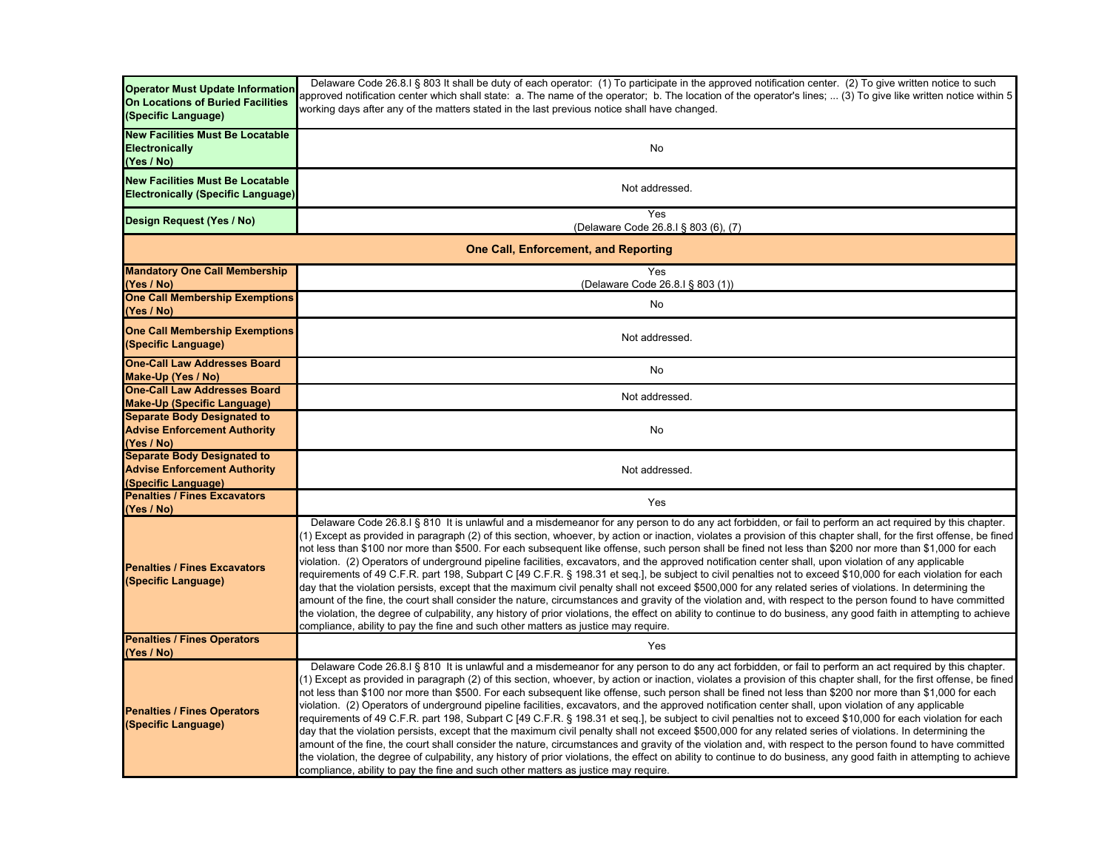| <b>Operator Must Update Information</b><br>On Locations of Buried Facilities<br>(Specific Language) | Delaware Code 26.8.I § 803 It shall be duty of each operator: (1) To participate in the approved notification center. (2) To give written notice to such<br>approved notification center which shall state: a. The name of the operator; b. The location of the operator's lines;  (3) To give like written notice within 5<br>working days after any of the matters stated in the last previous notice shall have changed.                                                                                                                                                                                                                                                                                                                                                                                                                                                                                                                                                                                                                                                                                                                                                                                                                                                                                                                                                                                     |  |
|-----------------------------------------------------------------------------------------------------|-----------------------------------------------------------------------------------------------------------------------------------------------------------------------------------------------------------------------------------------------------------------------------------------------------------------------------------------------------------------------------------------------------------------------------------------------------------------------------------------------------------------------------------------------------------------------------------------------------------------------------------------------------------------------------------------------------------------------------------------------------------------------------------------------------------------------------------------------------------------------------------------------------------------------------------------------------------------------------------------------------------------------------------------------------------------------------------------------------------------------------------------------------------------------------------------------------------------------------------------------------------------------------------------------------------------------------------------------------------------------------------------------------------------|--|
| <b>New Facilities Must Be Locatable</b><br><b>Electronically</b><br>(Yes / No)                      | No                                                                                                                                                                                                                                                                                                                                                                                                                                                                                                                                                                                                                                                                                                                                                                                                                                                                                                                                                                                                                                                                                                                                                                                                                                                                                                                                                                                                              |  |
| <b>New Facilities Must Be Locatable</b><br><b>Electronically (Specific Language)</b>                | Not addressed.                                                                                                                                                                                                                                                                                                                                                                                                                                                                                                                                                                                                                                                                                                                                                                                                                                                                                                                                                                                                                                                                                                                                                                                                                                                                                                                                                                                                  |  |
| Design Request (Yes / No)                                                                           | Yes<br>(Delaware Code 26.8.1 § 803 (6), (7)                                                                                                                                                                                                                                                                                                                                                                                                                                                                                                                                                                                                                                                                                                                                                                                                                                                                                                                                                                                                                                                                                                                                                                                                                                                                                                                                                                     |  |
| <b>One Call, Enforcement, and Reporting</b>                                                         |                                                                                                                                                                                                                                                                                                                                                                                                                                                                                                                                                                                                                                                                                                                                                                                                                                                                                                                                                                                                                                                                                                                                                                                                                                                                                                                                                                                                                 |  |
| <b>Mandatory One Call Membership</b><br>(Yes / No)                                                  | Yes<br>(Delaware Code 26.8.I § 803 (1))                                                                                                                                                                                                                                                                                                                                                                                                                                                                                                                                                                                                                                                                                                                                                                                                                                                                                                                                                                                                                                                                                                                                                                                                                                                                                                                                                                         |  |
| <b>One Call Membership Exemptions</b><br>(Yes / No)                                                 | No                                                                                                                                                                                                                                                                                                                                                                                                                                                                                                                                                                                                                                                                                                                                                                                                                                                                                                                                                                                                                                                                                                                                                                                                                                                                                                                                                                                                              |  |
| <b>One Call Membership Exemptions</b><br>(Specific Language)                                        | Not addressed.                                                                                                                                                                                                                                                                                                                                                                                                                                                                                                                                                                                                                                                                                                                                                                                                                                                                                                                                                                                                                                                                                                                                                                                                                                                                                                                                                                                                  |  |
| <b>One-Call Law Addresses Board</b><br>Make-Up (Yes / No)                                           | No                                                                                                                                                                                                                                                                                                                                                                                                                                                                                                                                                                                                                                                                                                                                                                                                                                                                                                                                                                                                                                                                                                                                                                                                                                                                                                                                                                                                              |  |
| <b>One-Call Law Addresses Board</b><br><b>Make-Up (Specific Language)</b>                           | Not addressed.                                                                                                                                                                                                                                                                                                                                                                                                                                                                                                                                                                                                                                                                                                                                                                                                                                                                                                                                                                                                                                                                                                                                                                                                                                                                                                                                                                                                  |  |
| <b>Separate Body Designated to</b><br><b>Advise Enforcement Authority</b><br>(Yes / No)             | No                                                                                                                                                                                                                                                                                                                                                                                                                                                                                                                                                                                                                                                                                                                                                                                                                                                                                                                                                                                                                                                                                                                                                                                                                                                                                                                                                                                                              |  |
| <b>Separate Body Designated to</b><br><b>Advise Enforcement Authority</b><br>(Specific Language)    | Not addressed.                                                                                                                                                                                                                                                                                                                                                                                                                                                                                                                                                                                                                                                                                                                                                                                                                                                                                                                                                                                                                                                                                                                                                                                                                                                                                                                                                                                                  |  |
| <b>Penalties / Fines Excavators</b><br>(Yes / No)                                                   | Yes                                                                                                                                                                                                                                                                                                                                                                                                                                                                                                                                                                                                                                                                                                                                                                                                                                                                                                                                                                                                                                                                                                                                                                                                                                                                                                                                                                                                             |  |
| <b>Penalties / Fines Excavators</b><br>(Specific Language)                                          | Delaware Code 26.8.I § 810 It is unlawful and a misdemeanor for any person to do any act forbidden, or fail to perform an act required by this chapter.<br>(1) Except as provided in paragraph (2) of this section, whoever, by action or inaction, violates a provision of this chapter shall, for the first offense, be fined<br>not less than \$100 nor more than \$500. For each subsequent like offense, such person shall be fined not less than \$200 nor more than \$1,000 for each<br>violation. (2) Operators of underground pipeline facilities, excavators, and the approved notification center shall, upon violation of any applicable<br>requirements of 49 C.F.R. part 198, Subpart C [49 C.F.R. § 198.31 et seq.], be subject to civil penalties not to exceed \$10,000 for each violation for each<br>day that the violation persists, except that the maximum civil penalty shall not exceed \$500,000 for any related series of violations. In determining the<br>amount of the fine, the court shall consider the nature, circumstances and gravity of the violation and, with respect to the person found to have committed<br>the violation, the degree of culpability, any history of prior violations, the effect on ability to continue to do business, any good faith in attempting to achieve<br>compliance, ability to pay the fine and such other matters as justice may require. |  |
| <b>Penalties / Fines Operators</b><br>(Yes / No)                                                    | Yes                                                                                                                                                                                                                                                                                                                                                                                                                                                                                                                                                                                                                                                                                                                                                                                                                                                                                                                                                                                                                                                                                                                                                                                                                                                                                                                                                                                                             |  |
| <b>Penalties / Fines Operators</b><br>(Specific Language)                                           | Delaware Code 26.8.1 § 810 It is unlawful and a misdemeanor for any person to do any act forbidden, or fail to perform an act required by this chapter.<br>(1) Except as provided in paragraph (2) of this section, whoever, by action or inaction, violates a provision of this chapter shall, for the first offense, be fined<br>not less than \$100 nor more than \$500. For each subsequent like offense, such person shall be fined not less than \$200 nor more than \$1,000 for each<br>violation. (2) Operators of underground pipeline facilities, excavators, and the approved notification center shall, upon violation of any applicable<br>requirements of 49 C.F.R. part 198, Subpart C [49 C.F.R. § 198.31 et seq.], be subject to civil penalties not to exceed \$10,000 for each violation for each<br>day that the violation persists, except that the maximum civil penalty shall not exceed \$500,000 for any related series of violations. In determining the<br>amount of the fine, the court shall consider the nature, circumstances and gravity of the violation and, with respect to the person found to have committed<br>the violation, the degree of culpability, any history of prior violations, the effect on ability to continue to do business, any good faith in attempting to achieve<br>compliance, ability to pay the fine and such other matters as justice may require. |  |